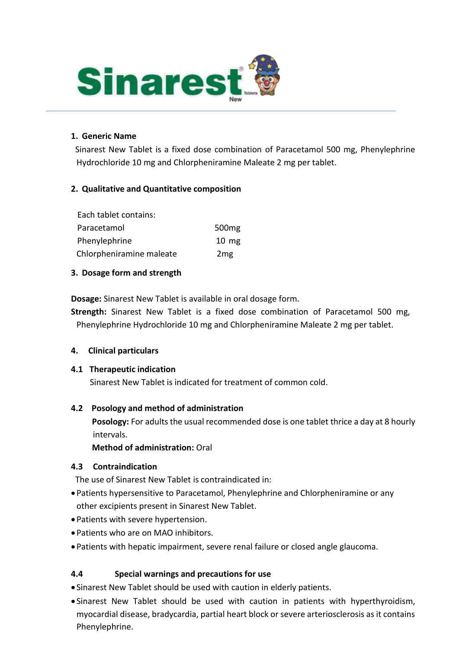

#### **1. Generic Name**

Sinarest New Tablet is a fixed dose combination of Paracetamol 500 mg, Phenylephrine Hydrochloride 10 mg and Chlorpheniramine Maleate 2 mg per tablet.

## **2. Qualitative and Quantitative composition**

| Each tablet contains:    |                   |
|--------------------------|-------------------|
| Paracetamol              | 500 <sub>mg</sub> |
| Phenylephrine            | $10 \text{ mg}$   |
| Chlorpheniramine maleate | 2mg               |

#### **3. Dosage form and strength**

**Dosage:** Sinarest New Tablet is available in oral dosage form.

**Strength:** Sinarest New Tablet is a fixed dose combination of Paracetamol 500 mg, Phenylephrine Hydrochloride 10 mg and Chlorpheniramine Maleate 2 mg per tablet.

#### **4. Clinical particulars**

#### **4.1 Therapeutic indication**

Sinarest New Tablet is indicated for treatment of common cold.

## **4.2 Posology and method of administration**

**Posology:** For adults the usual recommended dose is one tablet thrice a day at 8 hourly intervals.

## **Method of administration:** Oral

## **4.3 Contraindication**

The use of Sinarest New Tablet is contraindicated in:

- Patients hypersensitive to Paracetamol, Phenylephrine and Chlorpheniramine or any other excipients present in Sinarest New Tablet.
- Patients with severe hypertension.
- Patients who are on MAO inhibitors.
- Patients with hepatic impairment, severe renal failure or closed angle glaucoma.

## **4.4 Special warnings and precautions for use**

- Sinarest New Tablet should be used with caution in elderly patients.
- Sinarest New Tablet should be used with caution in patients with hyperthyroidism, myocardial disease, bradycardia, partial heart block or severe arteriosclerosis as it contains Phenylephrine.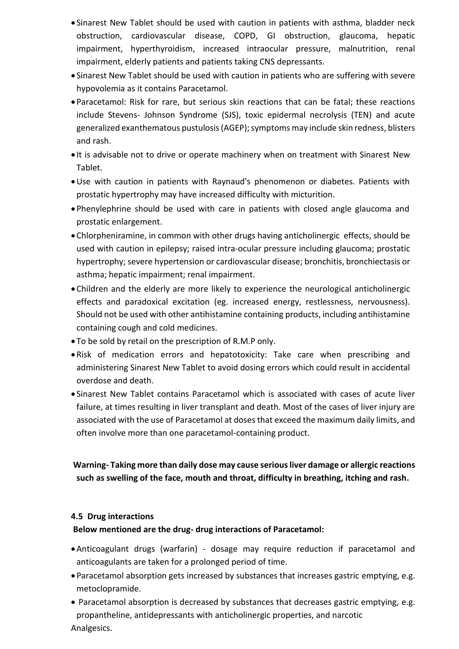- Sinarest New Tablet should be used with caution in patients with asthma, bladder neck obstruction, cardiovascular disease, COPD, GI obstruction, glaucoma, hepatic impairment, hyperthyroidism, increased intraocular pressure, malnutrition, renal impairment, elderly patients and patients taking CNS depressants.
- Sinarest New Tablet should be used with caution in patients who are suffering with severe hypovolemia as it contains Paracetamol.
- Paracetamol: Risk for rare, but serious skin reactions that can be fatal; these reactions include Stevens- Johnson Syndrome (SJS), toxic epidermal necrolysis (TEN) and acute generalized exanthematous pustulosis (AGEP); symptoms may include skin redness, blisters and rash.
- It is advisable not to drive or operate machinery when on treatment with Sinarest New Tablet.
- Use with caution in patients with Raynaud's phenomenon or diabetes. Patients with prostatic hypertrophy may have increased difficulty with micturition.
- Phenylephrine should be used with care in patients with closed angle glaucoma and prostatic enlargement.
- Chlorpheniramine, in common with other drugs having anticholinergic effects, should be used with caution in epilepsy; raised intra-ocular pressure including glaucoma; prostatic hypertrophy; severe hypertension or cardiovascular disease; bronchitis, bronchiectasis or asthma; hepatic impairment; renal impairment.
- Children and the elderly are more likely to experience the neurological anticholinergic effects and paradoxical excitation (eg. increased energy, restlessness, nervousness). Should not be used with other antihistamine containing products, including antihistamine containing cough and cold medicines.
- To be sold by retail on the prescription of R.M.P only.
- Risk of medication errors and hepatotoxicity: Take care when prescribing and administering Sinarest New Tablet to avoid dosing errors which could result in accidental overdose and death.
- Sinarest New Tablet contains Paracetamol which is associated with cases of acute liver failure, at times resulting in liver transplant and death. Most of the cases of liver injury are associated with the use of Paracetamol at doses that exceed the maximum daily limits, and often involve more than one paracetamol-containing product.

# **Warning- Taking more than daily dose may cause serious liver damage or allergic reactions such as swelling of the face, mouth and throat, difficulty in breathing, itching and rash.**

## **4.5 Drug interactions**

# **Below mentioned are the drug- drug interactions of Paracetamol:**

- Anticoagulant drugs (warfarin) dosage may require reduction if paracetamol and anticoagulants are taken for a prolonged period of time.
- Paracetamol absorption gets increased by substances that increases gastric emptying, e.g. metoclopramide.
- Paracetamol absorption is decreased by substances that decreases gastric emptying, e.g. propantheline, antidepressants with anticholinergic properties, and narcotic Analgesics.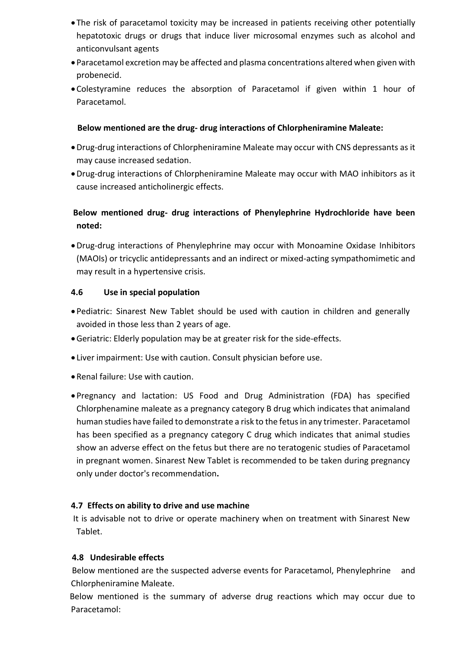- The risk of paracetamol toxicity may be increased in patients receiving other potentially hepatotoxic drugs or drugs that induce liver microsomal enzymes such as alcohol and anticonvulsant agents
- Paracetamol excretion may be affected and plasma concentrations altered when given with probenecid.
- Colestyramine reduces the absorption of Paracetamol if given within 1 hour of Paracetamol.

## **Below mentioned are the drug- drug interactions of Chlorpheniramine Maleate:**

- Drug-drug interactions of Chlorpheniramine Maleate may occur with CNS depressants as it may cause increased sedation.
- Drug-drug interactions of Chlorpheniramine Maleate may occur with MAO inhibitors as it cause increased anticholinergic effects.

# **Below mentioned drug- drug interactions of Phenylephrine Hydrochloride have been noted:**

Drug-drug interactions of Phenylephrine may occur with Monoamine Oxidase Inhibitors (MAOIs) or tricyclic antidepressants and an indirect or mixed-acting sympathomimetic and may result in a hypertensive crisis.

## **4.6 Use in special population**

- Pediatric: Sinarest New Tablet should be used with caution in children and generally avoided in those less than 2 years of age.
- Geriatric: Elderly population may be at greater risk for the side-effects.
- Liver impairment: Use with caution. Consult physician before use.
- Renal failure: Use with caution.
- Pregnancy and lactation: US Food and Drug Administration (FDA) has specified Chlorphenamine maleate as a pregnancy category B drug which indicates that animaland human studies have failed to demonstrate a risk to the fetus in any trimester. Paracetamol has been specified as a pregnancy category C drug which indicates that animal studies show an adverse effect on the fetus but there are no teratogenic studies of Paracetamol in pregnant women. Sinarest New Tablet is recommended to be taken during pregnancy only under doctor's recommendation**.**

## **4.7 Effects on ability to drive and use machine**

It is advisable not to drive or operate machinery when on treatment with Sinarest New Tablet.

## **4.8 Undesirable effects**

 Below mentioned are the suspected adverse events for Paracetamol, Phenylephrine and Chlorpheniramine Maleate.

Below mentioned is the summary of adverse drug reactions which may occur due to Paracetamol: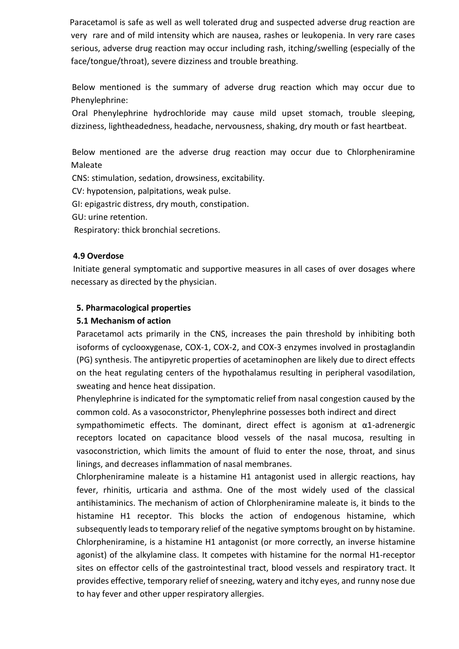Paracetamol is safe as well as well tolerated drug and suspected adverse drug reaction are very rare and of mild intensity which are nausea, rashes or leukopenia. In very rare cases serious, adverse drug reaction may occur including rash, itching/swelling (especially of the face/tongue/throat), severe dizziness and trouble breathing.

 Below mentioned is the summary of adverse drug reaction which may occur due to Phenylephrine:

 Oral Phenylephrine hydrochloride may cause mild upset stomach, trouble sleeping, dizziness, lightheadedness, headache, nervousness, shaking, dry mouth or fast heartbeat.

 Below mentioned are the adverse drug reaction may occur due to Chlorpheniramine Maleate

CNS: stimulation, sedation, drowsiness, excitability.

CV: hypotension, palpitations, weak pulse.

GI: epigastric distress, dry mouth, constipation.

GU: urine retention.

Respiratory: thick bronchial secretions.

#### **4.9 Overdose**

Initiate general symptomatic and supportive measures in all cases of over dosages where necessary as directed by the physician.

## **5. Pharmacological properties**

#### **5.1 Mechanism of action**

Paracetamol acts primarily in the CNS, increases the pain threshold by inhibiting both isoforms of cyclooxygenase, COX-1, COX-2, and COX-3 enzymes involved in prostaglandin (PG) synthesis. The antipyretic properties of acetaminophen are likely due to direct effects on the heat regulating centers of the hypothalamus resulting in peripheral vasodilation, sweating and hence heat dissipation.

Phenylephrine is indicated for the symptomatic relief from nasal congestion caused by the common cold. As a vasoconstrictor, Phenylephrine possesses both indirect and direct

sympathomimetic effects. The dominant, direct effect is agonism at  $\alpha$ 1-adrenergic receptors located on capacitance blood vessels of the nasal mucosa, resulting in vasoconstriction, which limits the amount of fluid to enter the nose, throat, and sinus linings, and decreases inflammation of nasal membranes.

Chlorpheniramine maleate is a histamine H1 antagonist used in allergic reactions, hay fever, rhinitis, urticaria and asthma. One of the most widely used of the classical antihistaminics. The mechanism of action of Chlorpheniramine maleate is, it binds to the histamine H1 receptor. This blocks the action of endogenous histamine, which subsequently leads to temporary relief of the negative symptoms brought on by histamine. Chlorpheniramine, is a histamine H1 antagonist (or more correctly, an inverse histamine agonist) of the alkylamine class. It competes with histamine for the normal H1-receptor sites on effector cells of the gastrointestinal tract, blood vessels and respiratory tract. It provides effective, temporary relief of sneezing, watery and itchy eyes, and runny nose due to hay fever and other upper respiratory allergies.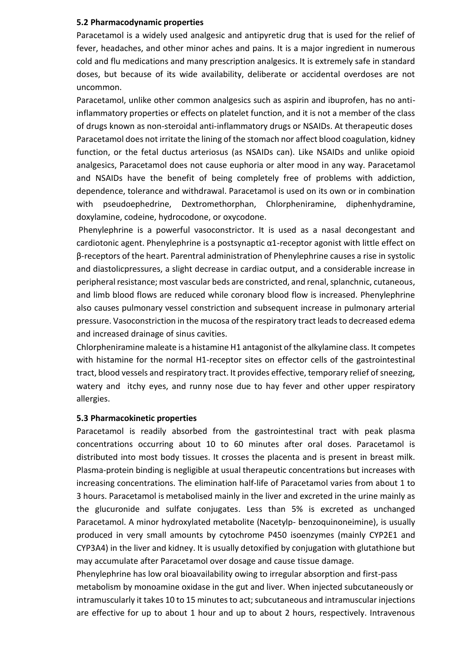#### **5.2 Pharmacodynamic properties**

Paracetamol is a widely used analgesic and antipyretic drug that is used for the relief of fever, headaches, and other minor aches and pains. It is a major ingredient in numerous cold and flu medications and many prescription analgesics. It is extremely safe in standard doses, but because of its wide availability, deliberate or accidental overdoses are not uncommon.

Paracetamol, unlike other common analgesics such as aspirin and ibuprofen, has no antiinflammatory properties or effects on platelet function, and it is not a member of the class of drugs known as non-steroidal anti-inflammatory drugs or NSAIDs. At therapeutic doses Paracetamol does not irritate the lining of the stomach nor affect blood coagulation, kidney function, or the fetal ductus arteriosus (as NSAIDs can). Like NSAIDs and unlike opioid analgesics, Paracetamol does not cause euphoria or alter mood in any way. Paracetamol and NSAIDs have the benefit of being completely free of problems with addiction, dependence, tolerance and withdrawal. Paracetamol is used on its own or in combination with pseudoephedrine, Dextromethorphan, Chlorpheniramine, diphenhydramine, doxylamine, codeine, hydrocodone, or oxycodone.

Phenylephrine is a powerful vasoconstrictor. It is used as a nasal decongestant and cardiotonic agent. Phenylephrine is a postsynaptic α1-receptor agonist with little effect on β-receptors of the heart. Parentral administration of Phenylephrine causes a rise in systolic and diastolicpressures, a slight decrease in cardiac output, and a considerable increase in peripheral resistance; most vascular beds are constricted, and renal, splanchnic, cutaneous, and limb blood flows are reduced while coronary blood flow is increased. Phenylephrine also causes pulmonary vessel constriction and subsequent increase in pulmonary arterial pressure. Vasoconstriction in the mucosa of the respiratory tract leads to decreased edema and increased drainage of sinus cavities.

Chlorpheniramine maleate is a histamine H1 antagonist of the alkylamine class. It competes with histamine for the normal H1-receptor sites on effector cells of the gastrointestinal tract, blood vessels and respiratory tract. It provides effective, temporary relief of sneezing, watery and itchy eyes, and runny nose due to hay fever and other upper respiratory allergies.

#### **5.3 Pharmacokinetic properties**

Paracetamol is readily absorbed from the gastrointestinal tract with peak plasma concentrations occurring about 10 to 60 minutes after oral doses. Paracetamol is distributed into most body tissues. It crosses the placenta and is present in breast milk. Plasma-protein binding is negligible at usual therapeutic concentrations but increases with increasing concentrations. The elimination half-life of Paracetamol varies from about 1 to 3 hours. Paracetamol is metabolised mainly in the liver and excreted in the urine mainly as the glucuronide and sulfate conjugates. Less than 5% is excreted as unchanged Paracetamol. A minor hydroxylated metabolite (Nacetylp- benzoquinoneimine), is usually produced in very small amounts by cytochrome P450 isoenzymes (mainly CYP2E1 and CYP3A4) in the liver and kidney. It is usually detoxified by conjugation with glutathione but may accumulate after Paracetamol over dosage and cause tissue damage.

Phenylephrine has low oral bioavailability owing to irregular absorption and first-pass metabolism by monoamine oxidase in the gut and liver. When injected subcutaneously or intramuscularly it takes 10 to 15 minutes to act; subcutaneous and intramuscular injections are effective for up to about 1 hour and up to about 2 hours, respectively. Intravenous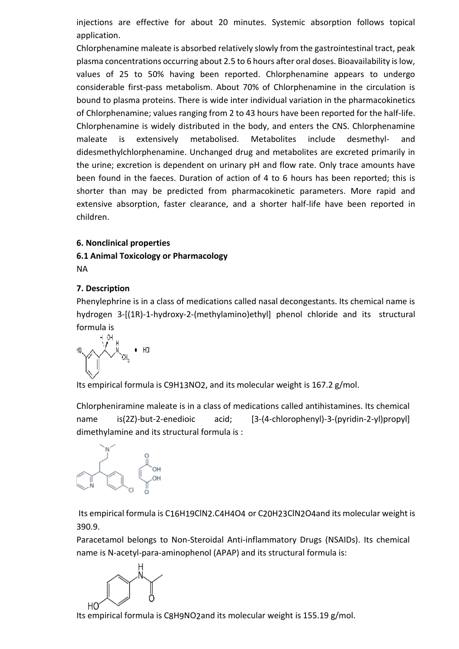injections are effective for about 20 minutes. Systemic absorption follows topical application.

Chlorphenamine maleate is absorbed relatively slowly from the gastrointestinal tract, peak plasma concentrations occurring about 2.5 to 6 hours after oral doses. Bioavailability is low, values of 25 to 50% having been reported. Chlorphenamine appears to undergo considerable first-pass metabolism. About 70% of Chlorphenamine in the circulation is bound to plasma proteins. There is wide inter individual variation in the pharmacokinetics of Chlorphenamine; values ranging from 2 to 43 hours have been reported for the half-life. Chlorphenamine is widely distributed in the body, and enters the CNS. Chlorphenamine maleate is extensively metabolised. Metabolites include desmethyl- and didesmethylchlorphenamine. Unchanged drug and metabolites are excreted primarily in the urine; excretion is dependent on urinary pH and flow rate. Only trace amounts have been found in the faeces. Duration of action of 4 to 6 hours has been reported; this is shorter than may be predicted from pharmacokinetic parameters. More rapid and extensive absorption, faster clearance, and a shorter half-life have been reported in children.

#### **6. Nonclinical properties**

# **6.1 Animal Toxicology or Pharmacology**

NA

## **7. Description**

Phenylephrine is in a class of medications called nasal decongestants. Its chemical name is hydrogen 3-[(1R)-1-hydroxy-2-(methylamino)ethyl] phenol chloride and its structural formula is

$$
\mathbf{H}^{\mathbf{D}} \underbrace{\bigwedge_{\mathbf{H},\mathbf{G}\mathbf{H}_{1}}\mathbf{H}}^{\mathbf{H},\mathbf{G}\mathbf{H}} \bullet \mathbf{H}\mathbf{G}
$$

Its empirical formula is [C9H13NO2,](https://pubchem.ncbi.nlm.nih.gov/#query%3DC9H13NO2) and its molecular weight is 167.2 g/mol.

Chlorpheniramine maleate is in a class of medications called antihistamines. Its chemical name is(2Z)-but-2-enedioic acid; [3-(4-chlorophenyl)-3-(pyridin-2-yl)propyl] dimethylamine and its structural formula is :



Its empirical formula is C16H19ClN2.C4H4O4 or C20H23ClN2O4and its molecular weight is 390.9.

Paracetamol belongs to Non-Steroidal Anti-inflammatory Drugs (NSAIDs). Its chemical name is N-acetyl-para-aminophenol (APAP) and its structural formula is:



Its empirical formula i[s C8H9NO2a](https://pubchem.ncbi.nlm.nih.gov/#query%3DC8H9NO2)nd its molecular weight is 155.19 g/mol.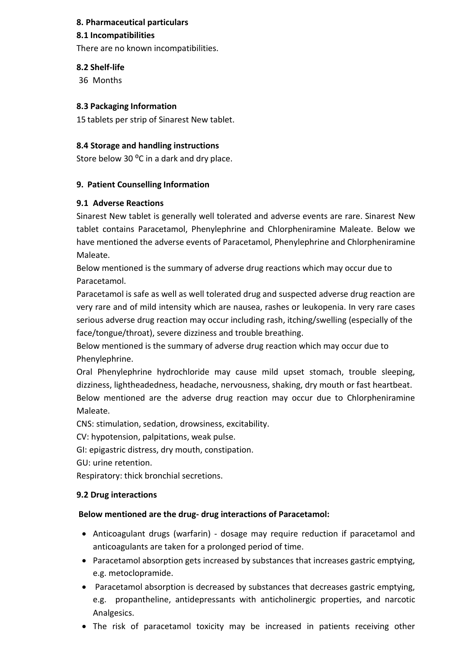## **8. Pharmaceutical particulars**

#### **8.1 Incompatibilities**

There are no known incompatibilities.

#### **8.2 Shelf-life**

36 Months

#### **8.3 Packaging Information**

15 tablets per strip of Sinarest New tablet.

#### **8.4 Storage and handling instructions**

Store below 30 $^{\circ}$ C in a dark and dry place.

#### **9. Patient Counselling Information**

#### **9.1 Adverse Reactions**

Sinarest New tablet is generally well tolerated and adverse events are rare. Sinarest New tablet contains Paracetamol, Phenylephrine and Chlorpheniramine Maleate. Below we have mentioned the adverse events of Paracetamol, Phenylephrine and Chlorpheniramine Maleate.

Below mentioned is the summary of adverse drug reactions which may occur due to Paracetamol.

Paracetamol is safe as well as well tolerated drug and suspected adverse drug reaction are very rare and of mild intensity which are nausea, rashes or leukopenia. In very rare cases serious adverse drug reaction may occur including rash, itching/swelling (especially of the face/tongue/throat), severe dizziness and trouble breathing.

Below mentioned is the summary of adverse drug reaction which may occur due to Phenylephrine.

Oral Phenylephrine hydrochloride may cause mild upset stomach, trouble sleeping, dizziness, lightheadedness, headache, nervousness, shaking, dry mouth or fast heartbeat. Below mentioned are the adverse drug reaction may occur due to Chlorpheniramine Maleate.

CNS: stimulation, sedation, drowsiness, excitability.

CV: hypotension, palpitations, weak pulse.

GI: epigastric distress, dry mouth, constipation.

GU: urine retention.

Respiratory: thick bronchial secretions.

#### **9.2 Drug interactions**

#### **Below mentioned are the drug- drug interactions of Paracetamol:**

- Anticoagulant drugs (warfarin) dosage may require reduction if paracetamol and anticoagulants are taken for a prolonged period of time.
- Paracetamol absorption gets increased by substances that increases gastric emptying, e.g. metoclopramide.
- Paracetamol absorption is decreased by substances that decreases gastric emptying, e.g. propantheline, antidepressants with anticholinergic properties, and narcotic Analgesics.
- The risk of paracetamol toxicity may be increased in patients receiving other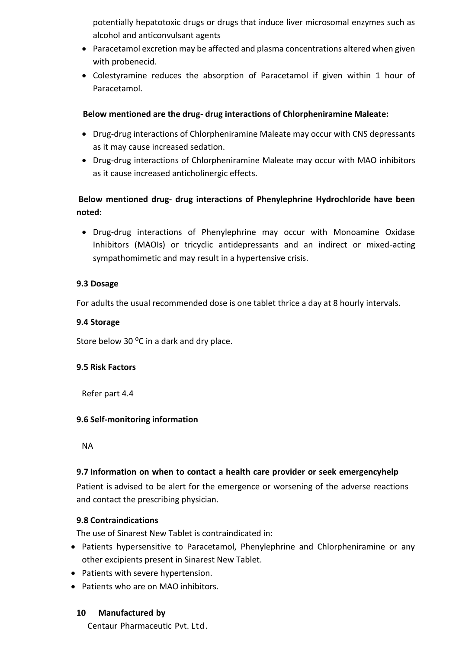potentially hepatotoxic drugs or drugs that induce liver microsomal enzymes such as alcohol and anticonvulsant agents

- Paracetamol excretion may be affected and plasma concentrations altered when given with probenecid.
- Colestyramine reduces the absorption of Paracetamol if given within 1 hour of Paracetamol.

## **Below mentioned are the drug- drug interactions of Chlorpheniramine Maleate:**

- Drug-drug interactions of Chlorpheniramine Maleate may occur with CNS depressants as it may cause increased sedation.
- Drug-drug interactions of Chlorpheniramine Maleate may occur with MAO inhibitors as it cause increased anticholinergic effects.

# **Below mentioned drug- drug interactions of Phenylephrine Hydrochloride have been noted:**

 Drug-drug interactions of Phenylephrine may occur with Monoamine Oxidase Inhibitors (MAOIs) or tricyclic antidepressants and an indirect or mixed-acting sympathomimetic and may result in a hypertensive crisis.

## **9.3 Dosage**

For adults the usual recommended dose is one tablet thrice a day at 8 hourly intervals.

## **9.4 Storage**

Store below 30 $^{\circ}$ C in a dark and dry place.

## **9.5 Risk Factors**

Refer part 4.4

## **9.6 Self-monitoring information**

NA

# **9.7 Information on when to contact a health care provider or seek emergencyhelp**

Patient is advised to be alert for the emergence or worsening of the adverse reactions and contact the prescribing physician.

## **9.8 Contraindications**

The use of Sinarest New Tablet is contraindicated in:

- Patients hypersensitive to Paracetamol, Phenylephrine and Chlorpheniramine or any other excipients present in Sinarest New Tablet.
- Patients with severe hypertension.
- Patients who are on MAO inhibitors.

## **10 Manufactured by**

Centaur Pharmaceutic Pvt. Ltd.